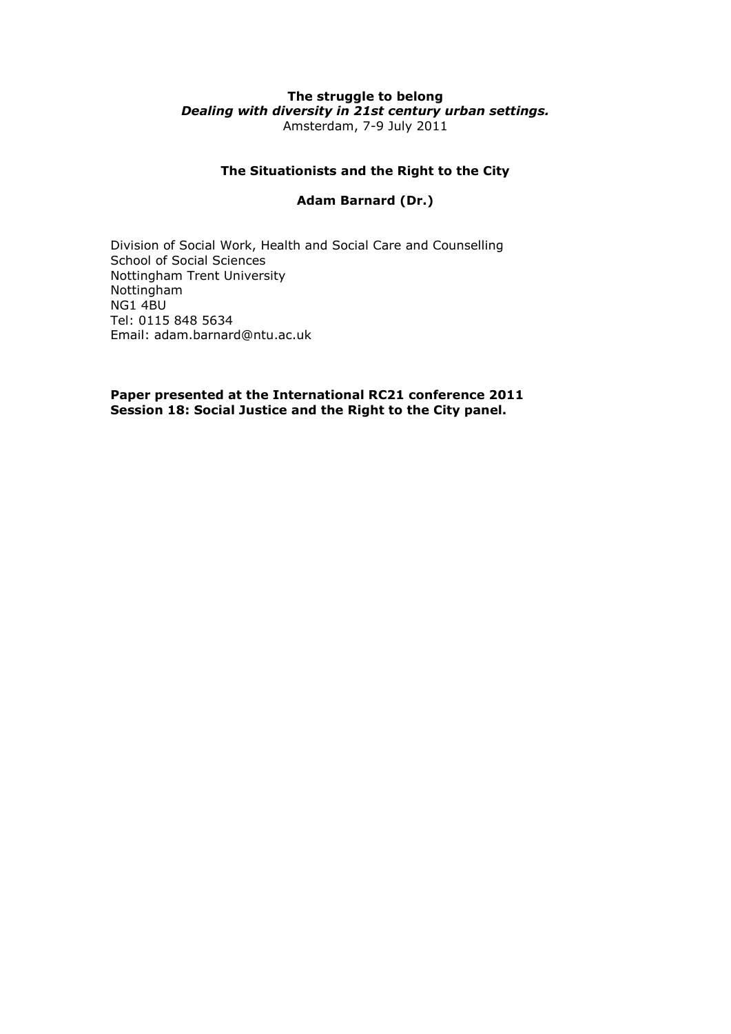#### **The struggle to belong** *Dealing with diversity in 21st century urban settings.* Amsterdam, 7-9 July 2011

# **The Situationists and the Right to the City**

# **Adam Barnard (Dr.)**

Division of Social Work, Health and Social Care and Counselling School of Social Sciences Nottingham Trent University Nottingham NG1 4BU Tel: 0115 848 5634 Email: adam.barnard@ntu.ac.uk

**Paper presented at the International RC21 conference 2011 Session 18: Social Justice and the Right to the City panel.**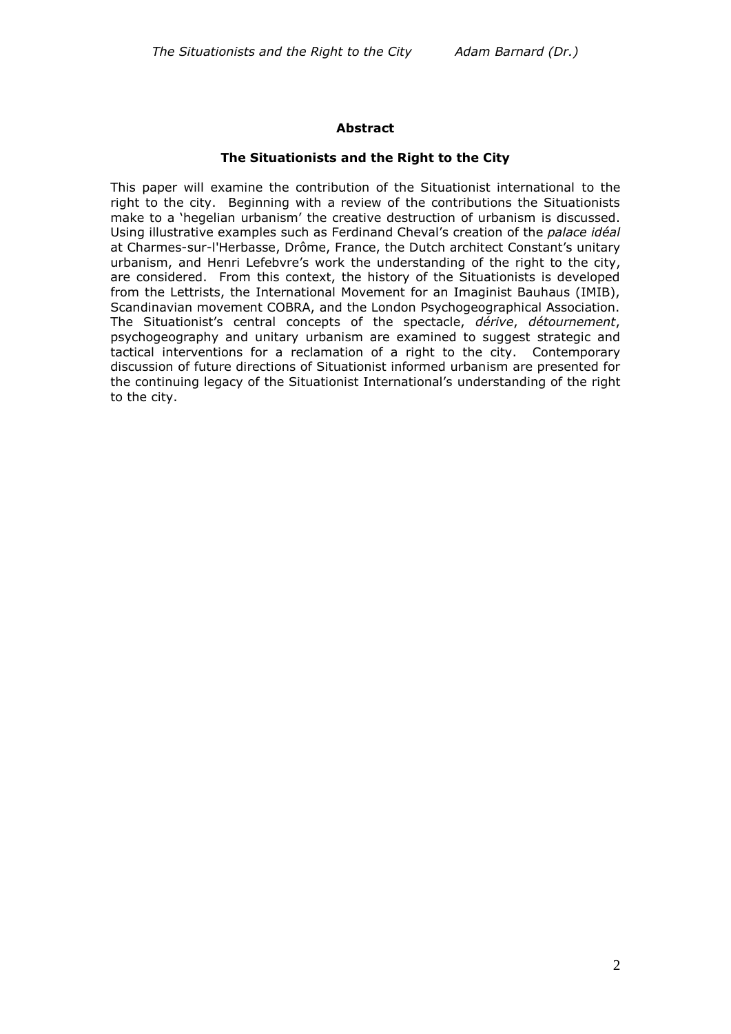# **Abstract**

### **The Situationists and the Right to the City**

This paper will examine the contribution of the Situationist international to the right to the city. Beginning with a review of the contributions the Situationists make to a 'hegelian urbanism' the creative destruction of urbanism is discussed. Using illustrative examples such as Ferdinand Cheval's creation of the *palace idéal* at [Charmes-sur-l'Herbasse,](http://en.wikipedia.org/wiki/Charmes-sur-l%27Herbasse) [Drôme,](http://en.wikipedia.org/wiki/Dr%C3%B4me) [France,](http://en.wikipedia.org/wiki/France) the Dutch architect Constant's unitary urbanism, and Henri Lefebvre's work the understanding of the right to the city, are considered. From this context, the history of the Situationists is developed from the Lettrists, the International Movement for an Imaginist Bauhaus (IMIB), Scandinavian movement COBRA, and the London Psychogeographical Association. The Situationist's central concepts of the spectacle, *dérive*, *détournement*, psychogeography and unitary urbanism are examined to suggest strategic and tactical interventions for a reclamation of a right to the city. Contemporary discussion of future directions of Situationist informed urbanism are presented for the continuing legacy of the Situationist International's understanding of the right to the city.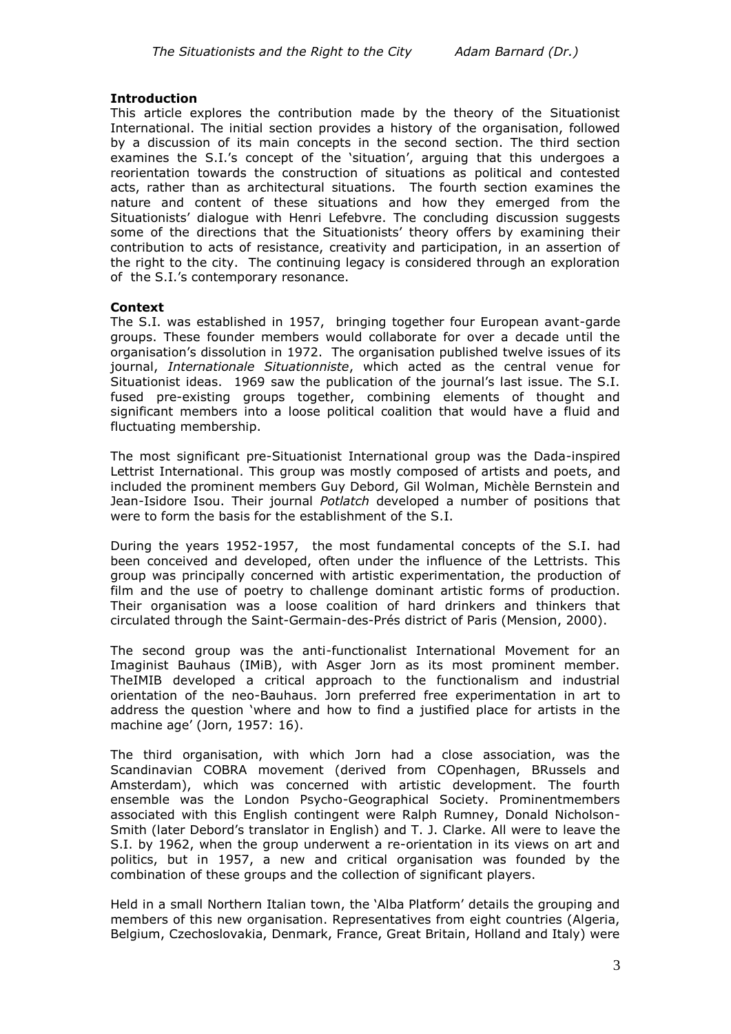### **Introduction**

This article explores the contribution made by the theory of the Situationist International. The initial section provides a history of the organisation, followed by a discussion of its main concepts in the second section. The third section examines the S.I.'s concept of the 'situation', arguing that this undergoes a reorientation towards the construction of situations as political and contested acts, rather than as architectural situations. The fourth section examines the nature and content of these situations and how they emerged from the Situationists' dialogue with Henri Lefebvre. The concluding discussion suggests some of the directions that the Situationists' theory offers by examining their contribution to acts of resistance, creativity and participation, in an assertion of the right to the city. The continuing legacy is considered through an exploration of the S.I.'s contemporary resonance.

#### **Context**

The S.I. was established in 1957, bringing together four European avant-garde groups. These founder members would collaborate for over a decade until the organisation's dissolution in 1972. The organisation published twelve issues of its journal, *Internationale Situationniste*, which acted as the central venue for Situationist ideas. 1969 saw the publication of the journal's last issue. The S.I. fused pre-existing groups together, combining elements of thought and significant members into a loose political coalition that would have a fluid and fluctuating membership.

The most significant pre-Situationist International group was the Dada-inspired Lettrist International. This group was mostly composed of artists and poets, and included the prominent members Guy Debord, Gil Wolman, Michèle Bernstein and Jean-Isidore Isou. Their journal *Potlatch* developed a number of positions that were to form the basis for the establishment of the S.I.

During the years 1952-1957, the most fundamental concepts of the S.I. had been conceived and developed, often under the influence of the Lettrists. This group was principally concerned with artistic experimentation, the production of film and the use of poetry to challenge dominant artistic forms of production. Their organisation was a loose coalition of hard drinkers and thinkers that circulated through the Saint-Germain-des-Prés district of Paris (Mension, 2000).

The second group was the anti-functionalist International Movement for an Imaginist Bauhaus (IMiB), with Asger Jorn as its most prominent member. TheIMIB developed a critical approach to the functionalism and industrial orientation of the neo-Bauhaus. Jorn preferred free experimentation in art to address the question 'where and how to find a justified place for artists in the machine age' (Jorn, 1957: 16).

The third organisation, with which Jorn had a close association, was the Scandinavian COBRA movement (derived from COpenhagen, BRussels and Amsterdam), which was concerned with artistic development. The fourth ensemble was the London Psycho-Geographical Society. Prominentmembers associated with this English contingent were Ralph Rumney, Donald Nicholson-Smith (later Debord's translator in English) and T. J. Clarke. All were to leave the S.I. by 1962, when the group underwent a re-orientation in its views on art and politics, but in 1957, a new and critical organisation was founded by the combination of these groups and the collection of significant players.

Held in a small Northern Italian town, the 'Alba Platform' details the grouping and members of this new organisation. Representatives from eight countries (Algeria, Belgium, Czechoslovakia, Denmark, France, Great Britain, Holland and Italy) were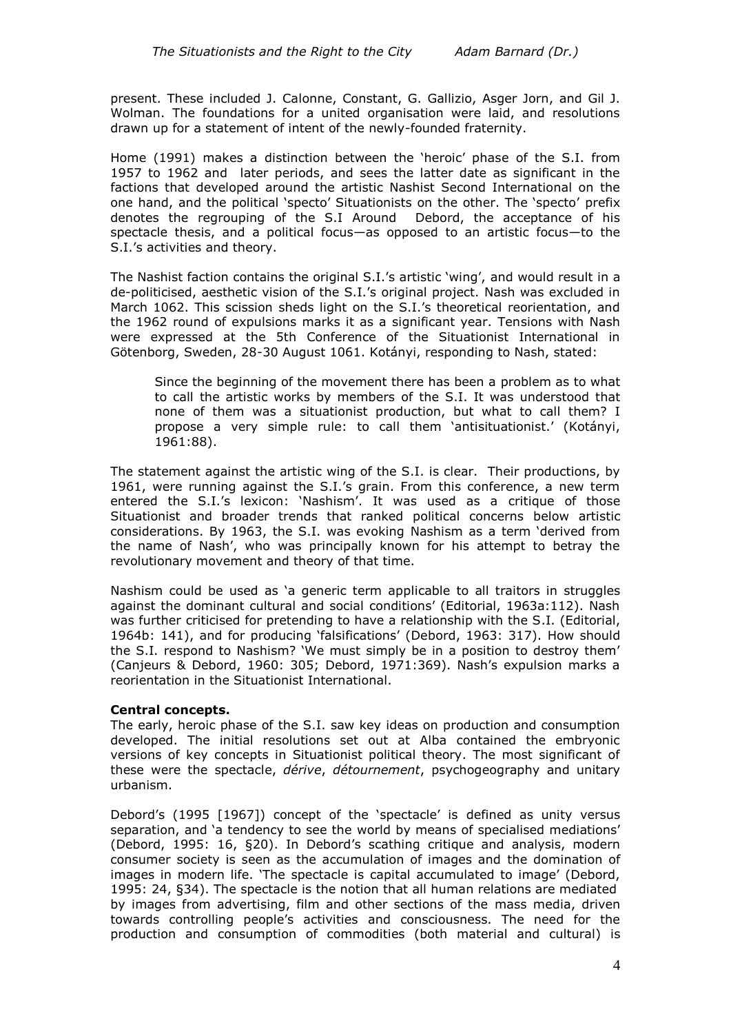present. These included J. Calonne, Constant, G. Gallizio, Asger Jorn, and Gil J. Wolman. The foundations for a united organisation were laid, and resolutions drawn up for a statement of intent of the newly-founded fraternity.

Home (1991) makes a distinction between the 'heroic' phase of the S.I. from 1957 to 1962 and later periods, and sees the latter date as significant in the factions that developed around the artistic Nashist Second International on the one hand, and the political 'specto' Situationists on the other. The 'specto' prefix denotes the regrouping of the S.I Around Debord, the acceptance of his spectacle thesis, and a political focus—as opposed to an artistic focus—to the S.I.'s activities and theory.

The Nashist faction contains the original S.I.'s artistic 'wing', and would result in a de-politicised, aesthetic vision of the S.I.'s original project. Nash was excluded in March 1062. This scission sheds light on the S.I.'s theoretical reorientation, and the 1962 round of expulsions marks it as a significant year. Tensions with Nash were expressed at the 5th Conference of the Situationist International in Götenborg, Sweden, 28-30 August 1061. Kotányi, responding to Nash, stated:

Since the beginning of the movement there has been a problem as to what to call the artistic works by members of the S.I. It was understood that none of them was a situationist production, but what to call them? I propose a very simple rule: to call them 'antisituationist.' (Kotányi, 1961:88).

The statement against the artistic wing of the S.I. is clear. Their productions, by 1961, were running against the S.I.'s grain. From this conference, a new term entered the S.I.'s lexicon: 'Nashism'. It was used as a critique of those Situationist and broader trends that ranked political concerns below artistic considerations. By 1963, the S.I. was evoking Nashism as a term 'derived from the name of Nash', who was principally known for his attempt to betray the revolutionary movement and theory of that time.

Nashism could be used as 'a generic term applicable to all traitors in struggles against the dominant cultural and social conditions' (Editorial, 1963a:112). Nash was further criticised for pretending to have a relationship with the S.I. (Editorial, 1964b: 141), and for producing 'falsifications' (Debord, 1963: 317). How should the S.I. respond to Nashism? 'We must simply be in a position to destroy them' (Canjeurs & Debord, 1960: 305; Debord, 1971:369). Nash's expulsion marks a reorientation in the Situationist International.

### **Central concepts.**

The early, heroic phase of the S.I. saw key ideas on production and consumption developed. The initial resolutions set out at Alba contained the embryonic versions of key concepts in Situationist political theory. The most significant of these were the spectacle, *dérive*, *détournement*, psychogeography and unitary urbanism.

Debord's (1995 [1967]) concept of the 'spectacle' is defined as unity versus separation, and 'a tendency to see the world by means of specialised mediations' (Debord, 1995: 16, §20). In Debord's scathing critique and analysis, modern consumer society is seen as the accumulation of images and the domination of images in modern life. 'The spectacle is capital accumulated to image' (Debord, 1995: 24, §34). The spectacle is the notion that all human relations are mediated by images from advertising, film and other sections of the mass media, driven towards controlling people's activities and consciousness. The need for the production and consumption of commodities (both material and cultural) is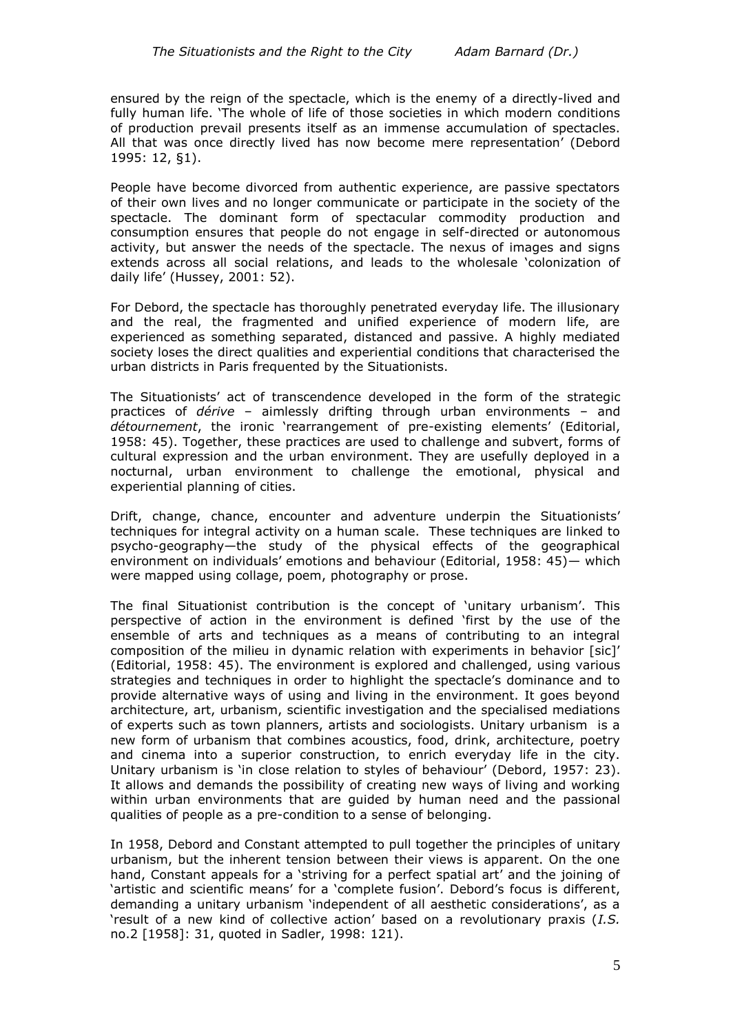ensured by the reign of the spectacle, which is the enemy of a directly-lived and fully human life. 'The whole of life of those societies in which modern conditions of production prevail presents itself as an immense accumulation of spectacles. All that was once directly lived has now become mere representation' (Debord 1995: 12, §1).

People have become divorced from authentic experience, are passive spectators of their own lives and no longer communicate or participate in the society of the spectacle. The dominant form of spectacular commodity production and consumption ensures that people do not engage in self-directed or autonomous activity, but answer the needs of the spectacle. The nexus of images and signs extends across all social relations, and leads to the wholesale 'colonization of daily life' (Hussey, 2001: 52).

For Debord, the spectacle has thoroughly penetrated everyday life. The illusionary and the real, the fragmented and unified experience of modern life, are experienced as something separated, distanced and passive. A highly mediated society loses the direct qualities and experiential conditions that characterised the urban districts in Paris frequented by the Situationists.

The Situationists' act of transcendence developed in the form of the strategic practices of *dérive* – aimlessly drifting through urban environments – and *détournement*, the ironic 'rearrangement of pre-existing elements' (Editorial, 1958: 45). Together, these practices are used to challenge and subvert, forms of cultural expression and the urban environment. They are usefully deployed in a nocturnal, urban environment to challenge the emotional, physical and experiential planning of cities.

Drift, change, chance, encounter and adventure underpin the Situationists' techniques for integral activity on a human scale. These techniques are linked to psycho-geography—the study of the physical effects of the geographical environment on individuals' emotions and behaviour (Editorial, 1958: 45)— which were mapped using collage, poem, photography or prose.

The final Situationist contribution is the concept of 'unitary urbanism'. This perspective of action in the environment is defined 'first by the use of the ensemble of arts and techniques as a means of contributing to an integral composition of the milieu in dynamic relation with experiments in behavior [sic]' (Editorial, 1958: 45). The environment is explored and challenged, using various strategies and techniques in order to highlight the spectacle's dominance and to provide alternative ways of using and living in the environment. It goes beyond architecture, art, urbanism, scientific investigation and the specialised mediations of experts such as town planners, artists and sociologists. Unitary urbanism is a new form of urbanism that combines acoustics, food, drink, architecture, poetry and cinema into a superior construction, to enrich everyday life in the city. Unitary urbanism is 'in close relation to styles of behaviour' (Debord, 1957: 23). It allows and demands the possibility of creating new ways of living and working within urban environments that are guided by human need and the passional qualities of people as a pre-condition to a sense of belonging.

In 1958, Debord and Constant attempted to pull together the principles of unitary urbanism, but the inherent tension between their views is apparent. On the one hand, Constant appeals for a 'striving for a perfect spatial art' and the joining of 'artistic and scientific means' for a 'complete fusion'. Debord's focus is different, demanding a unitary urbanism 'independent of all aesthetic considerations', as a 'result of a new kind of collective action' based on a revolutionary praxis (*I.S.*  no.2 [1958]: 31, quoted in Sadler, 1998: 121).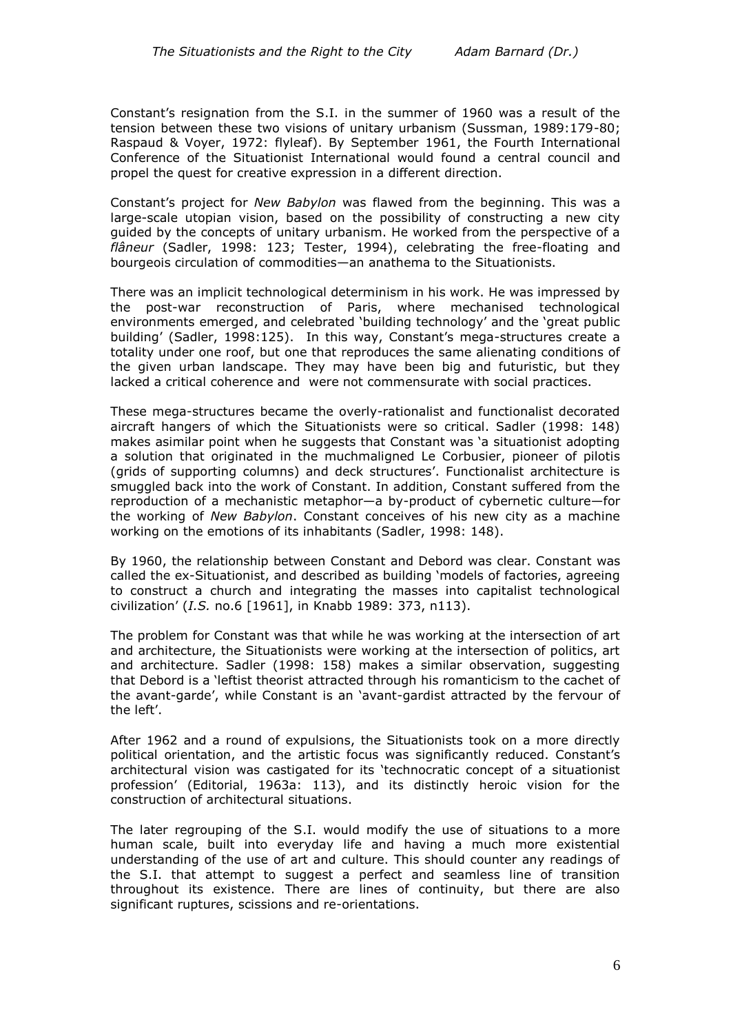Constant's resignation from the S.I. in the summer of 1960 was a result of the tension between these two visions of unitary urbanism (Sussman, 1989:179-80; Raspaud & Voyer, 1972: flyleaf). By September 1961, the Fourth International Conference of the Situationist International would found a central council and propel the quest for creative expression in a different direction.

Constant's project for *New Babylon* was flawed from the beginning. This was a large-scale utopian vision, based on the possibility of constructing a new city guided by the concepts of unitary urbanism. He worked from the perspective of a *flâneur* (Sadler, 1998: 123; Tester, 1994), celebrating the free-floating and bourgeois circulation of commodities—an anathema to the Situationists.

There was an implicit technological determinism in his work. He was impressed by the post-war reconstruction of Paris, where mechanised technological environments emerged, and celebrated 'building technology' and the 'great public building' (Sadler, 1998:125). In this way, Constant's mega-structures create a totality under one roof, but one that reproduces the same alienating conditions of the given urban landscape. They may have been big and futuristic, but they lacked a critical coherence and were not commensurate with social practices.

These mega-structures became the overly-rationalist and functionalist decorated aircraft hangers of which the Situationists were so critical. Sadler (1998: 148) makes asimilar point when he suggests that Constant was 'a situationist adopting a solution that originated in the muchmaligned Le Corbusier, pioneer of pilotis (grids of supporting columns) and deck structures'. Functionalist architecture is smuggled back into the work of Constant. In addition, Constant suffered from the reproduction of a mechanistic metaphor—a by-product of cybernetic culture—for the working of *New Babylon*. Constant conceives of his new city as a machine working on the emotions of its inhabitants (Sadler, 1998: 148).

By 1960, the relationship between Constant and Debord was clear. Constant was called the ex-Situationist, and described as building 'models of factories, agreeing to construct a church and integrating the masses into capitalist technological civilization' (*I.S.* no.6 [1961], in Knabb 1989: 373, n113).

The problem for Constant was that while he was working at the intersection of art and architecture, the Situationists were working at the intersection of politics, art and architecture. Sadler (1998: 158) makes a similar observation, suggesting that Debord is a 'leftist theorist attracted through his romanticism to the cachet of the avant-garde', while Constant is an 'avant-gardist attracted by the fervour of the left'.

After 1962 and a round of expulsions, the Situationists took on a more directly political orientation, and the artistic focus was significantly reduced. Constant's architectural vision was castigated for its 'technocratic concept of a situationist profession' (Editorial, 1963a: 113), and its distinctly heroic vision for the construction of architectural situations.

The later regrouping of the S.I. would modify the use of situations to a more human scale, built into everyday life and having a much more existential understanding of the use of art and culture. This should counter any readings of the S.I. that attempt to suggest a perfect and seamless line of transition throughout its existence. There are lines of continuity, but there are also significant ruptures, scissions and re-orientations.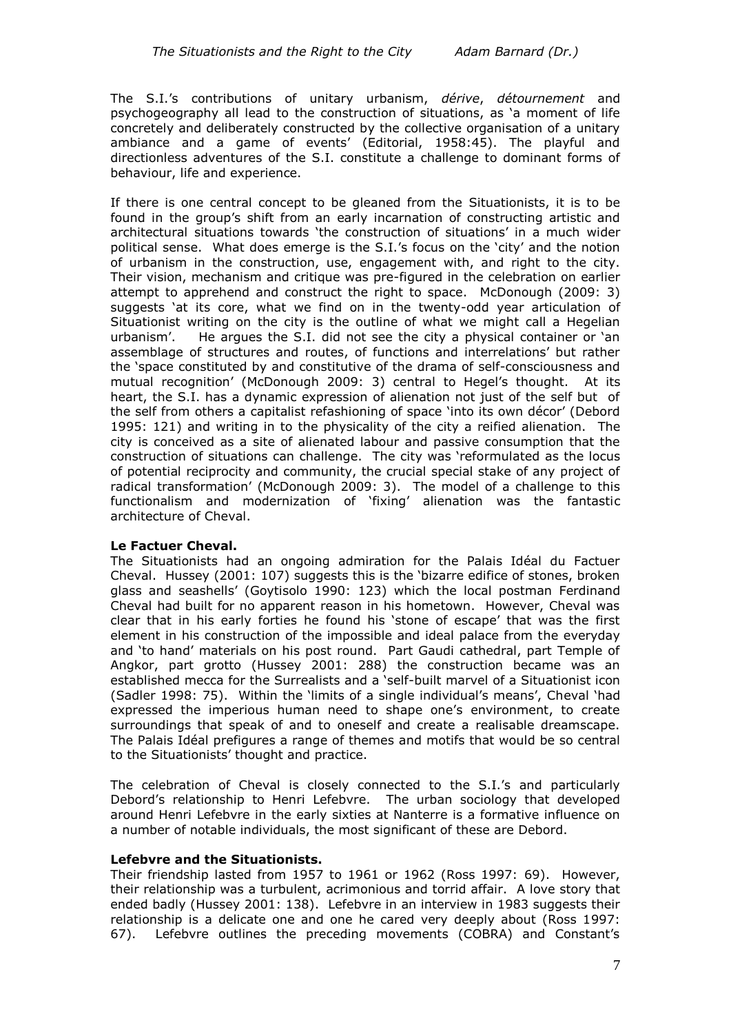The S.I.'s contributions of unitary urbanism, *dérive*, *détournement* and psychogeography all lead to the construction of situations, as 'a moment of life concretely and deliberately constructed by the collective organisation of a unitary ambiance and a game of events' (Editorial, 1958:45). The playful and directionless adventures of the S.I. constitute a challenge to dominant forms of behaviour, life and experience.

If there is one central concept to be gleaned from the Situationists, it is to be found in the group's shift from an early incarnation of constructing artistic and architectural situations towards 'the construction of situations' in a much wider political sense. What does emerge is the S.I.'s focus on the 'city' and the notion of urbanism in the construction, use, engagement with, and right to the city. Their vision, mechanism and critique was pre-figured in the celebration on earlier attempt to apprehend and construct the right to space. McDonough (2009: 3) suggests 'at its core, what we find on in the twenty-odd year articulation of Situationist writing on the city is the outline of what we might call a Hegelian urbanism'. He argues the S.I. did not see the city a physical container or 'an assemblage of structures and routes, of functions and interrelations' but rather the 'space constituted by and constitutive of the drama of self-consciousness and mutual recognition' (McDonough 2009: 3) central to Hegel's thought. At its heart, the S.I. has a dynamic expression of alienation not just of the self but of the self from others a capitalist refashioning of space 'into its own décor' (Debord 1995: 121) and writing in to the physicality of the city a reified alienation. The city is conceived as a site of alienated labour and passive consumption that the construction of situations can challenge. The city was 'reformulated as the locus of potential reciprocity and community, the crucial special stake of any project of radical transformation' (McDonough 2009: 3). The model of a challenge to this functionalism and modernization of 'fixing' alienation was the fantastic architecture of Cheval.

### **Le Factuer Cheval.**

The Situationists had an ongoing admiration for the Palais Idéal du Factuer Cheval. Hussey (2001: 107) suggests this is the 'bizarre edifice of stones, broken glass and seashells' (Goytisolo 1990: 123) which the local postman Ferdinand Cheval had built for no apparent reason in his hometown. However, Cheval was clear that in his early forties he found his 'stone of escape' that was the first element in his construction of the impossible and ideal palace from the everyday and 'to hand' materials on his post round. Part Gaudi cathedral, part Temple of Angkor, part grotto (Hussey 2001: 288) the construction became was an established mecca for the Surrealists and a 'self-built marvel of a Situationist icon (Sadler 1998: 75). Within the 'limits of a single individual's means', Cheval 'had expressed the imperious human need to shape one's environment, to create surroundings that speak of and to oneself and create a realisable dreamscape. The Palais Idéal prefigures a range of themes and motifs that would be so central to the Situationists' thought and practice.

The celebration of Cheval is closely connected to the S.I.'s and particularly Debord's relationship to Henri Lefebvre. The urban sociology that developed around Henri Lefebvre in the early sixties at Nanterre is a formative influence on a number of notable individuals, the most significant of these are Debord.

### **Lefebvre and the Situationists.**

Their friendship lasted from 1957 to 1961 or 1962 (Ross 1997: 69). However, their relationship was a turbulent, acrimonious and torrid affair. A love story that ended badly (Hussey 2001: 138). Lefebvre in an interview in 1983 suggests their relationship is a delicate one and one he cared very deeply about (Ross 1997: 67). Lefebvre outlines the preceding movements (COBRA) and Constant's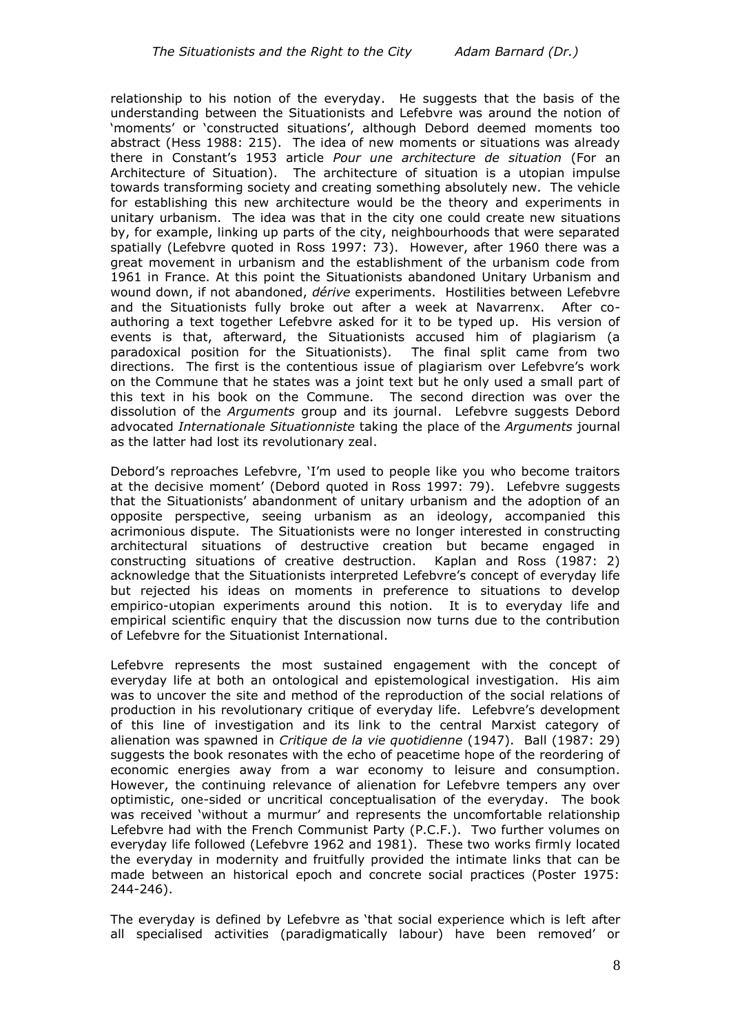relationship to his notion of the everyday. He suggests that the basis of the understanding between the Situationists and Lefebvre was around the notion of 'moments' or 'constructed situations', although Debord deemed moments too abstract (Hess 1988: 215). The idea of new moments or situations was already there in Constant's 1953 article *Pour une architecture de situation* (For an Architecture of Situation). The architecture of situation is a utopian impulse towards transforming society and creating something absolutely new. The vehicle for establishing this new architecture would be the theory and experiments in unitary urbanism. The idea was that in the city one could create new situations by, for example, linking up parts of the city, neighbourhoods that were separated spatially (Lefebvre quoted in Ross 1997: 73). However, after 1960 there was a great movement in urbanism and the establishment of the urbanism code from 1961 in France. At this point the Situationists abandoned Unitary Urbanism and wound down, if not abandoned, *dérive* experiments. Hostilities between Lefebvre and the Situationists fully broke out after a week at Navarrenx. After coauthoring a text together Lefebvre asked for it to be typed up. His version of events is that, afterward, the Situationists accused him of plagiarism (a paradoxical position for the Situationists). The final split came from two directions. The first is the contentious issue of plagiarism over Lefebvre's work on the Commune that he states was a joint text but he only used a small part of this text in his book on the Commune. The second direction was over the dissolution of the *Arguments* group and its journal. Lefebvre suggests Debord advocated *Internationale Situationniste* taking the place of the *Arguments* journal as the latter had lost its revolutionary zeal.

Debord's reproaches Lefebvre, 'I'm used to people like you who become traitors at the decisive moment' (Debord quoted in Ross 1997: 79). Lefebvre suggests that the Situationists' abandonment of unitary urbanism and the adoption of an opposite perspective, seeing urbanism as an ideology, accompanied this acrimonious dispute. The Situationists were no longer interested in constructing architectural situations of destructive creation but became engaged in constructing situations of creative destruction. Kaplan and Ross (1987: 2) acknowledge that the Situationists interpreted Lefebvre's concept of everyday life but rejected his ideas on moments in preference to situations to develop empirico-utopian experiments around this notion. It is to everyday life and empirical scientific enquiry that the discussion now turns due to the contribution of Lefebvre for the Situationist International.

Lefebvre represents the most sustained engagement with the concept of everyday life at both an ontological and epistemological investigation. His aim was to uncover the site and method of the reproduction of the social relations of production in his revolutionary critique of everyday life. Lefebvre's development of this line of investigation and its link to the central Marxist category of alienation was spawned in *Critique de la vie quotidienne* (1947). Ball (1987: 29) suggests the book resonates with the echo of peacetime hope of the reordering of economic energies away from a war economy to leisure and consumption. However, the continuing relevance of alienation for Lefebvre tempers any over optimistic, one-sided or uncritical conceptualisation of the everyday.The book was received 'without a murmur' and represents the uncomfortable relationship Lefebvre had with the French Communist Party (P.C.F.). Two further volumes on everyday life followed (Lefebvre 1962 and 1981). These two works firmly located the everyday in modernity and fruitfully provided the intimate links that can be made between an historical epoch and concrete social practices (Poster 1975: 244-246).

The everyday is defined by Lefebvre as 'that social experience which is left after all specialised activities (paradigmatically labour) have been removed' or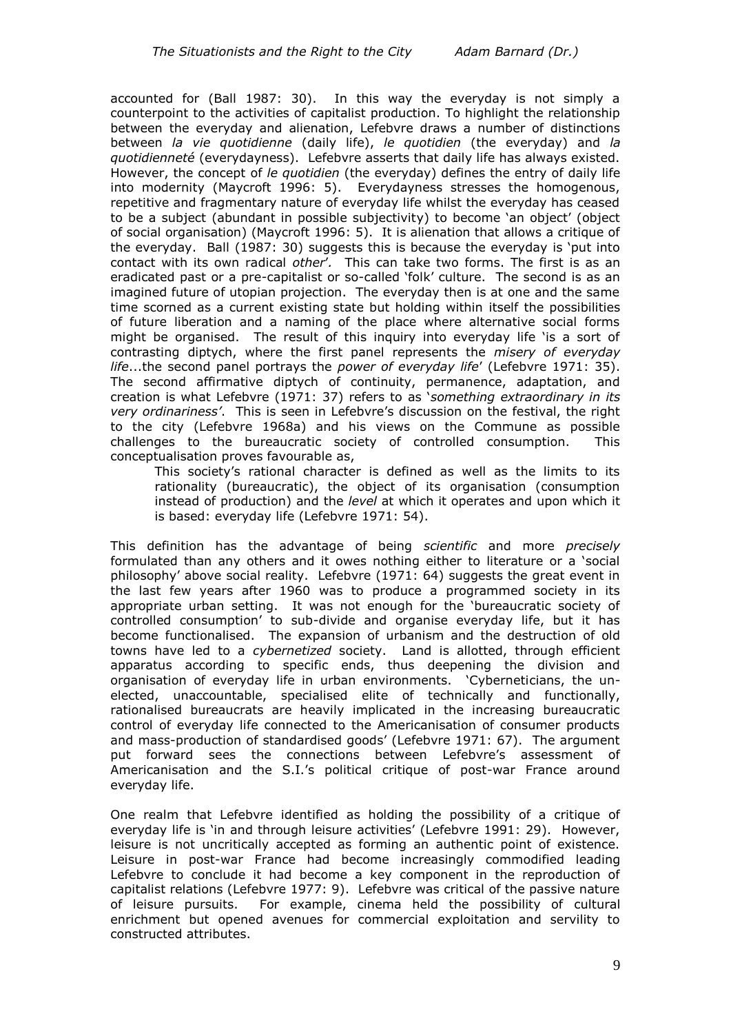accounted for (Ball 1987: 30). In this way the everyday is not simply a counterpoint to the activities of capitalist production. To highlight the relationship between the everyday and alienation, Lefebvre draws a number of distinctions between *la vie quotidienne* (daily life), *le quotidien* (the everyday) and *la quotidienneté* (everydayness). Lefebvre asserts that daily life has always existed. However, the concept of *le quotidien* (the everyday) defines the entry of daily life into modernity (Maycroft 1996: 5). Everydayness stresses the homogenous, repetitive and fragmentary nature of everyday life whilst the everyday has ceased to be a subject (abundant in possible subjectivity) to become 'an object' (object of social organisation) (Maycroft 1996: 5). It is alienation that allows a critique of the everyday. Ball (1987: 30) suggests this is because the everyday is 'put into contact with its own radical *other*'*.* This can take two forms. The first is as an eradicated past or a pre-capitalist or so-called 'folk' culture. The second is as an imagined future of utopian projection. The everyday then is at one and the same time scorned as a current existing state but holding within itself the possibilities of future liberation and a naming of the place where alternative social forms might be organised. The result of this inquiry into everyday life 'is a sort of contrasting diptych, where the first panel represents the *misery of everyday life*...the second panel portrays the *power of everyday life*' (Lefebvre 1971: 35). The second affirmative diptych of continuity, permanence, adaptation, and creation is what Lefebvre (1971: 37) refers to as '*something extraordinary in its very ordinariness'*. This is seen in Lefebvre's discussion on the festival, the right to the city (Lefebvre 1968a) and his views on the Commune as possible challenges to the bureaucratic society of controlled consumption. This conceptualisation proves favourable as,

This society's rational character is defined as well as the limits to its rationality (bureaucratic), the object of its organisation (consumption instead of production) and the *level* at which it operates and upon which it is based: everyday life (Lefebvre 1971: 54).

This definition has the advantage of being *scientific* and more *precisely* formulated than any others and it owes nothing either to literature or a 'social philosophy' above social reality. Lefebvre (1971: 64) suggests the great event in the last few years after 1960 was to produce a programmed society in its appropriate urban setting. It was not enough for the 'bureaucratic society of controlled consumption' to sub-divide and organise everyday life, but it has become functionalised. The expansion of urbanism and the destruction of old towns have led to a *cybernetized* society. Land is allotted, through efficient apparatus according to specific ends, thus deepening the division and organisation of everyday life in urban environments. 'Cyberneticians, the unelected, unaccountable, specialised elite of technically and functionally, rationalised bureaucrats are heavily implicated in the increasing bureaucratic control of everyday life connected to the Americanisation of consumer products and mass-production of standardised goods' (Lefebvre 1971: 67). The argument put forward sees the connections between Lefebvre's assessment of Americanisation and the S.I.'s political critique of post-war France around everyday life.

One realm that Lefebvre identified as holding the possibility of a critique of everyday life is 'in and through leisure activities' (Lefebvre 1991: 29). However, leisure is not uncritically accepted as forming an authentic point of existence. Leisure in post-war France had become increasingly commodified leading Lefebvre to conclude it had become a key component in the reproduction of capitalist relations (Lefebvre 1977: 9). Lefebvre was critical of the passive nature of leisure pursuits. For example, cinema held the possibility of cultural enrichment but opened avenues for commercial exploitation and servility to constructed attributes.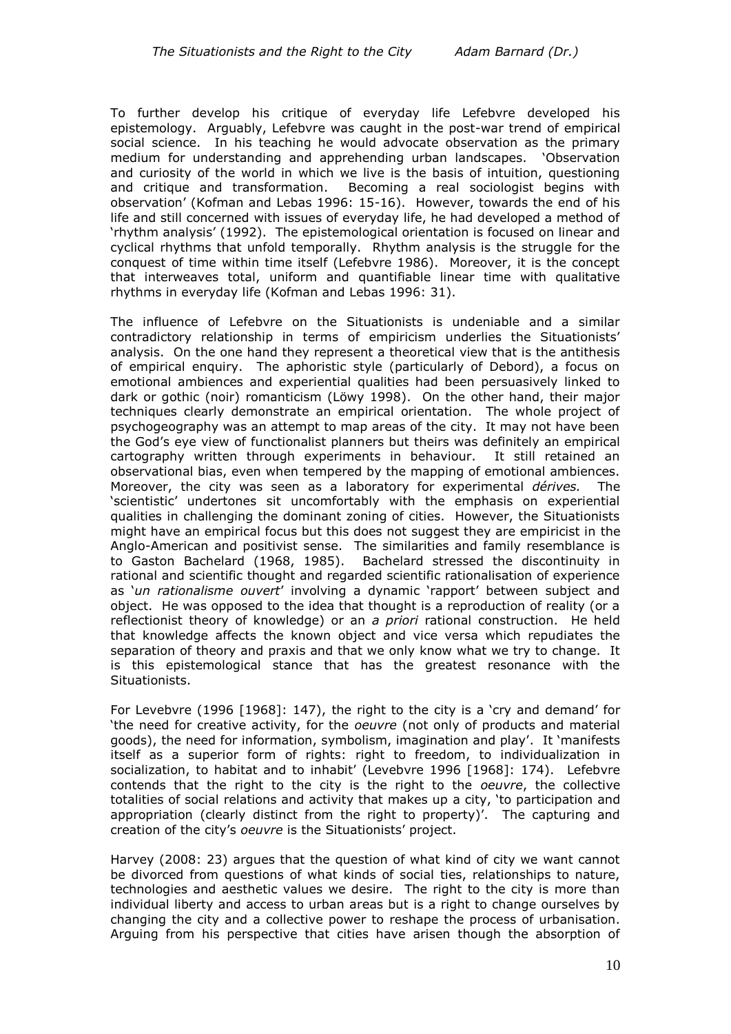To further develop his critique of everyday life Lefebvre developed his epistemology. Arguably, Lefebvre was caught in the post-war trend of empirical social science. In his teaching he would advocate observation as the primary medium for understanding and apprehending urban landscapes. 'Observation and curiosity of the world in which we live is the basis of intuition, questioning and critique and transformation. Becoming a real sociologist begins with observation' (Kofman and Lebas 1996: 15-16). However, towards the end of his life and still concerned with issues of everyday life, he had developed a method of 'rhythm analysis' (1992). The epistemological orientation is focused on linear and cyclical rhythms that unfold temporally. Rhythm analysis is the struggle for the conquest of time within time itself (Lefebvre 1986). Moreover, it is the concept that interweaves total, uniform and quantifiable linear time with qualitative rhythms in everyday life (Kofman and Lebas 1996: 31).

The influence of Lefebvre on the Situationists is undeniable and a similar contradictory relationship in terms of empiricism underlies the Situationists' analysis. On the one hand they represent a theoretical view that is the antithesis of empirical enquiry. The aphoristic style (particularly of Debord), a focus on emotional ambiences and experiential qualities had been persuasively linked to dark or gothic (noir) romanticism (Löwy 1998). On the other hand, their major techniques clearly demonstrate an empirical orientation. The whole project of psychogeography was an attempt to map areas of the city. It may not have been the God's eye view of functionalist planners but theirs was definitely an empirical cartography written through experiments in behaviour. It still retained an observational bias, even when tempered by the mapping of emotional ambiences. Moreover, the city was seen as a laboratory for experimental *dérives.* The 'scientistic' undertones sit uncomfortably with the emphasis on experiential qualities in challenging the dominant zoning of cities. However, the Situationists might have an empirical focus but this does not suggest they are empiricist in the Anglo-American and positivist sense. The similarities and family resemblance is to Gaston Bachelard (1968, 1985). Bachelard stressed the discontinuity in rational and scientific thought and regarded scientific rationalisation of experience as '*un rationalisme ouvert*' involving a dynamic 'rapport' between subject and object. He was opposed to the idea that thought is a reproduction of reality (or a reflectionist theory of knowledge) or an *a priori* rational construction. He held that knowledge affects the known object and vice versa which repudiates the separation of theory and praxis and that we only know what we try to change. It is this epistemological stance that has the greatest resonance with the Situationists.

For Levebvre (1996 [1968]: 147), the right to the city is a 'cry and demand' for 'the need for creative activity, for the *oeuvre* (not only of products and material goods), the need for information, symbolism, imagination and play'. It 'manifests itself as a superior form of rights: right to freedom, to individualization in socialization, to habitat and to inhabit' (Levebvre 1996 [1968]: 174). Lefebvre contends that the right to the city is the right to the *oeuvre*, the collective totalities of social relations and activity that makes up a city, 'to participation and appropriation (clearly distinct from the right to property)'. The capturing and creation of the city's *oeuvre* is the Situationists' project.

Harvey (2008: 23) argues that the question of what kind of city we want cannot be divorced from questions of what kinds of social ties, relationships to nature, technologies and aesthetic values we desire. The right to the city is more than individual liberty and access to urban areas but is a right to change ourselves by changing the city and a collective power to reshape the process of urbanisation. Arguing from his perspective that cities have arisen though the absorption of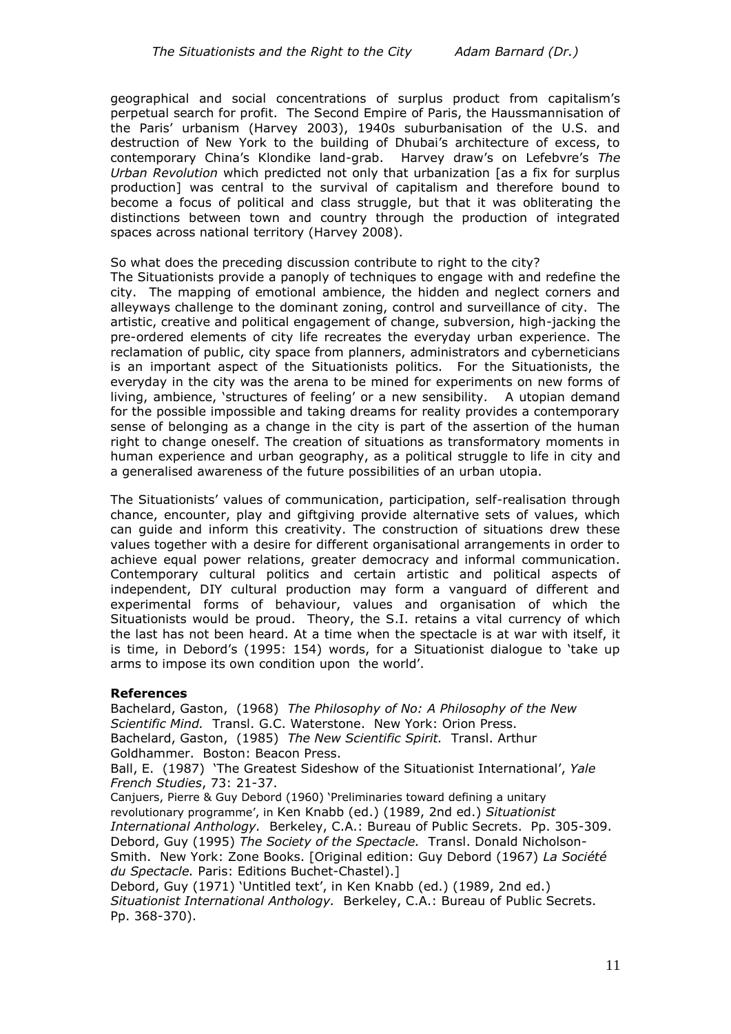geographical and social concentrations of surplus product from capitalism's perpetual search for profit. The Second Empire of Paris, the Haussmannisation of the Paris' urbanism (Harvey 2003), 1940s suburbanisation of the U.S. and destruction of New York to the building of Dhubai's architecture of excess, to contemporary China's Klondike land-grab. Harvey draw's on Lefebvre's *The Urban Revolution* which predicted not only that urbanization [as a fix for surplus production] was central to the survival of capitalism and therefore bound to become a focus of political and class struggle, but that it was obliterating the distinctions between town and country through the production of integrated spaces across national territory (Harvey 2008).

#### So what does the preceding discussion contribute to right to the city?

The Situationists provide a panoply of techniques to engage with and redefine the city. The mapping of emotional ambience, the hidden and neglect corners and alleyways challenge to the dominant zoning, control and surveillance of city. The artistic, creative and political engagement of change, subversion, high-jacking the pre-ordered elements of city life recreates the everyday urban experience. The reclamation of public, city space from planners, administrators and cyberneticians is an important aspect of the Situationists politics. For the Situationists, the everyday in the city was the arena to be mined for experiments on new forms of living, ambience, 'structures of feeling' or a new sensibility. A utopian demand for the possible impossible and taking dreams for reality provides a contemporary sense of belonging as a change in the city is part of the assertion of the human right to change oneself. The creation of situations as transformatory moments in human experience and urban geography, as a political struggle to life in city and a generalised awareness of the future possibilities of an urban utopia.

The Situationists' values of communication, participation, self-realisation through chance, encounter, play and giftgiving provide alternative sets of values, which can guide and inform this creativity. The construction of situations drew these values together with a desire for different organisational arrangements in order to achieve equal power relations, greater democracy and informal communication. Contemporary cultural politics and certain artistic and political aspects of independent, DIY cultural production may form a vanguard of different and experimental forms of behaviour, values and organisation of which the Situationists would be proud. Theory, the S.I. retains a vital currency of which the last has not been heard. At a time when the spectacle is at war with itself, it is time, in Debord's (1995: 154) words, for a Situationist dialogue to 'take up arms to impose its own condition upon the world'.

### **References**

Bachelard, Gaston, (1968) *The Philosophy of No: A Philosophy of the New Scientific Mind.* Transl. G.C. Waterstone. New York: Orion Press. Bachelard, Gaston, (1985) *The New Scientific Spirit.* Transl. Arthur Goldhammer. Boston: Beacon Press. Ball, E. (1987) 'The Greatest Sideshow of the Situationist International', *Yale French Studies*, 73: 21-37. Canjuers, Pierre & Guy Debord (1960) 'Preliminaries toward defining a unitary revolutionary programme', in Ken Knabb (ed.) (1989, 2nd ed.) *Situationist International Anthology.* Berkeley, C.A.: Bureau of Public Secrets. Pp. 305-309. Debord, Guy (1995) *The Society of the Spectacle.* Transl. Donald Nicholson-Smith. New York: Zone Books. [Original edition: Guy Debord (1967) *La Société du Spectacle.* Paris: Editions Buchet-Chastel).] Debord, Guy (1971) 'Untitled text', in Ken Knabb (ed.) (1989, 2nd ed.) *Situationist International Anthology.* Berkeley, C.A.: Bureau of Public Secrets.

Pp. 368-370).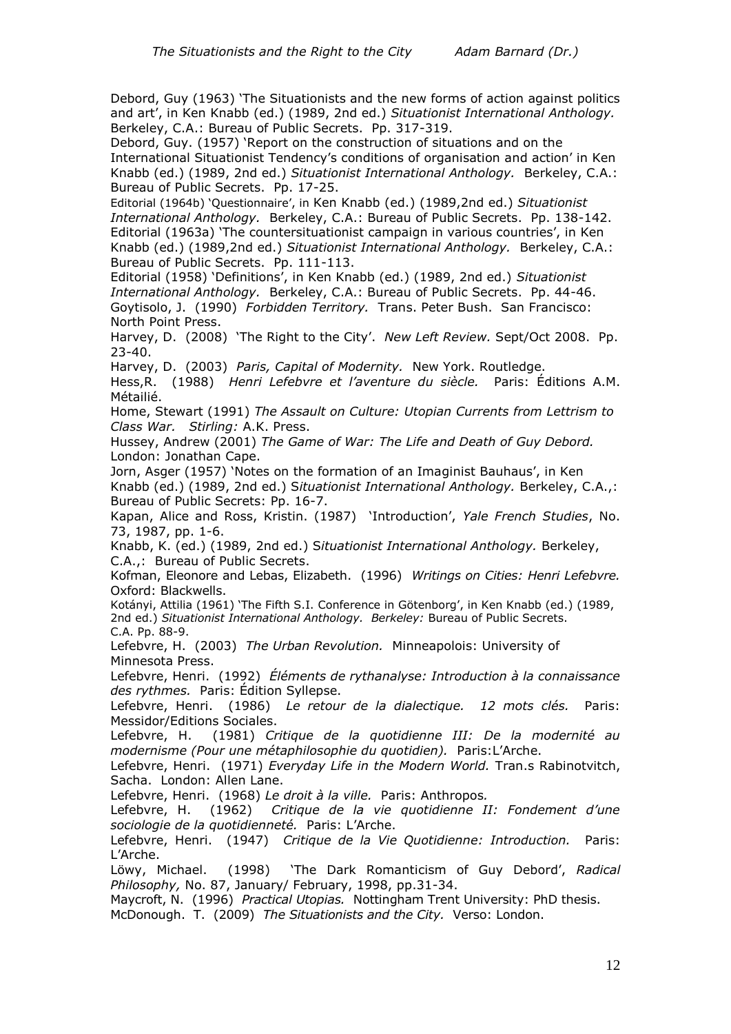Debord, Guy (1963) 'The Situationists and the new forms of action against politics and art', in Ken Knabb (ed.) (1989, 2nd ed.) *Situationist International Anthology.*  Berkeley, C.A.: Bureau of Public Secrets. Pp. 317-319.

Debord, Guy. (1957) 'Report on the construction of situations and on the International Situationist Tendency's conditions of organisation and action' in Ken Knabb (ed.) (1989, 2nd ed.) *Situationist International Anthology.* Berkeley, C.A.: Bureau of Public Secrets. Pp. 17-25.

Editorial (1964b) 'Questionnaire', in Ken Knabb (ed.) (1989,2nd ed.) *Situationist International Anthology.* Berkeley, C.A.: Bureau of Public Secrets. Pp. 138-142. Editorial (1963a) 'The countersituationist campaign in various countries', in Ken Knabb (ed.) (1989,2nd ed.) *Situationist International Anthology.* Berkeley, C.A.: Bureau of Public Secrets. Pp. 111-113.

Editorial (1958) 'Definitions', in Ken Knabb (ed.) (1989, 2nd ed.) *Situationist International Anthology.* Berkeley, C.A.: Bureau of Public Secrets. Pp. 44-46. Goytisolo, J. (1990) *Forbidden Territory.* Trans. Peter Bush. San Francisco: North Point Press.

Harvey, D. (2008) 'The Right to the City'. *New Left Review.* Sept/Oct 2008. Pp. 23-40.

Harvey, D. (2003) *Paris, Capital of Modernity.* New York. Routledge.

Hess,R. (1988) *Henri Lefebvre et l'aventure du siècle.* Paris: Éditions A.M. Métailié.

Home, Stewart (1991) *The Assault on Culture: Utopian Currents from Lettrism to Class War. Stirling:* A.K. Press.

Hussey, Andrew (2001) *The Game of War: The Life and Death of Guy Debord.*  London: Jonathan Cape.

Jorn, Asger (1957) 'Notes on the formation of an Imaginist Bauhaus', in Ken

Knabb (ed.) (1989, 2nd ed.) S*ituationist International Anthology.* Berkeley, C.A.,: Bureau of Public Secrets: Pp. 16-7.

Kapan, Alice and Ross, Kristin. (1987) 'Introduction', *Yale French Studies*, No. 73, 1987, pp. 1-6.

Knabb, K. (ed.) (1989, 2nd ed.) S*ituationist International Anthology.* Berkeley, C.A.,: Bureau of Public Secrets.

Kofman, Eleonore and Lebas, Elizabeth. (1996) *Writings on Cities: Henri Lefebvre.*  Oxford: Blackwells.

Kotányi, Attilia (1961) 'The Fifth S.I. Conference in Götenborg', in Ken Knabb (ed.) (1989, 2nd ed.) *Situationist International Anthology. Berkeley:* Bureau of Public Secrets. C.A. Pp. 88-9.

Lefebvre, H. (2003) *The Urban Revolution.* Minneapolois: University of Minnesota Press.

Lefebvre, Henri. (1992) *Éléments de rythanalyse: Introduction à la connaissance des rythmes.* Paris: Édition Syllepse.

Lefebvre, Henri. (1986) *Le retour de la dialectique. 12 mots clés.* Paris: Messidor/Editions Sociales.

Lefebvre, H. (1981) *Critique de la quotidienne III: De la modernité au modernisme (Pour une métaphilosophie du quotidien).* Paris:L'Arche.

Lefebvre, Henri. (1971) *Everyday Life in the Modern World.* Tran.s Rabinotvitch, Sacha. London: Allen Lane.

Lefebvre, Henri. (1968) *Le droit à la ville.* Paris: Anthropos*.*

Lefebvre, H. (1962) *Critique de la vie quotidienne II: Fondement d'une sociologie de la quotidienneté.* Paris: L'Arche.

Lefebvre, Henri. (1947) *Critique de la Vie Quotidienne: Introduction.* Paris: L'Arche.

Löwy, Michael. (1998) 'The Dark Romanticism of Guy Debord', *Radical Philosophy,* No. 87, January/ February, 1998, pp.31-34.

Maycroft, N. (1996) *Practical Utopias.* Nottingham Trent University: PhD thesis.

McDonough. T. (2009) *The Situationists and the City.* Verso: London.